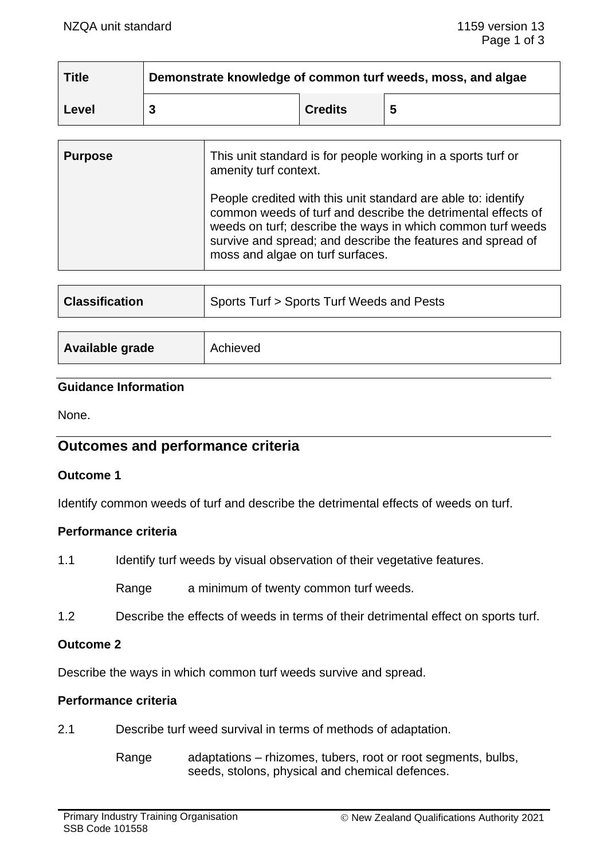| <b>Title</b> | Demonstrate knowledge of common turf weeds, moss, and algae |                |   |  |
|--------------|-------------------------------------------------------------|----------------|---|--|
| ∣ Level      |                                                             | <b>Credits</b> | 5 |  |

| <b>Purpose</b> | This unit standard is for people working in a sports turf or<br>amenity turf context.                                                                                                                                                                                                           |
|----------------|-------------------------------------------------------------------------------------------------------------------------------------------------------------------------------------------------------------------------------------------------------------------------------------------------|
|                | People credited with this unit standard are able to: identify<br>common weeds of turf and describe the detrimental effects of<br>weeds on turf; describe the ways in which common turf weeds<br>survive and spread; and describe the features and spread of<br>moss and algae on turf surfaces. |

| <b>Classification</b> | Sports Turf > Sports Turf Weeds and Pests |  |
|-----------------------|-------------------------------------------|--|
|                       |                                           |  |
| Available grade       | Achieved                                  |  |

### **Guidance Information**

None.

# **Outcomes and performance criteria**

#### **Outcome 1**

Identify common weeds of turf and describe the detrimental effects of weeds on turf.

### **Performance criteria**

1.1 Identify turf weeds by visual observation of their vegetative features.

Range a minimum of twenty common turf weeds.

1.2 Describe the effects of weeds in terms of their detrimental effect on sports turf.

#### **Outcome 2**

Describe the ways in which common turf weeds survive and spread.

### **Performance criteria**

2.1 Describe turf weed survival in terms of methods of adaptation.

Range adaptations – rhizomes, tubers, root or root segments, bulbs, seeds, stolons, physical and chemical defences.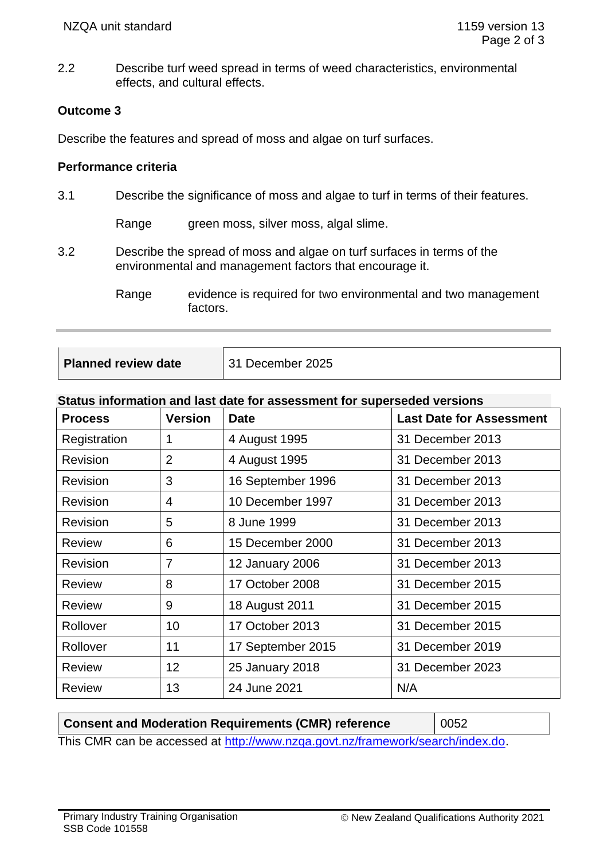2.2 Describe turf weed spread in terms of weed characteristics, environmental effects, and cultural effects.

## **Outcome 3**

Describe the features and spread of moss and algae on turf surfaces.

### **Performance criteria**

3.1 Describe the significance of moss and algae to turf in terms of their features.

Range green moss, silver moss, algal slime.

- 3.2 Describe the spread of moss and algae on turf surfaces in terms of the environmental and management factors that encourage it.
	- Range evidence is required for two environmental and two management factors.

| Planned review date | 31 December 2025 |
|---------------------|------------------|
|                     |                  |

### **Status information and last date for assessment for superseded versions**

| <b>Process</b>  | <b>Version</b> | <b>Date</b>       | <b>Last Date for Assessment</b> |
|-----------------|----------------|-------------------|---------------------------------|
| Registration    |                | 4 August 1995     | 31 December 2013                |
| Revision        | 2              | 4 August 1995     | 31 December 2013                |
| Revision        | 3              | 16 September 1996 | 31 December 2013                |
| Revision        | 4              | 10 December 1997  | 31 December 2013                |
| Revision        | 5              | 8 June 1999       | 31 December 2013                |
| <b>Review</b>   | 6              | 15 December 2000  | 31 December 2013                |
| <b>Revision</b> | 7              | 12 January 2006   | 31 December 2013                |
| <b>Review</b>   | 8              | 17 October 2008   | 31 December 2015                |
| <b>Review</b>   | 9              | 18 August 2011    | 31 December 2015                |
| Rollover        | 10             | 17 October 2013   | 31 December 2015                |
| Rollover        | 11             | 17 September 2015 | 31 December 2019                |
| <b>Review</b>   | 12             | 25 January 2018   | 31 December 2023                |
| <b>Review</b>   | 13             | 24 June 2021      | N/A                             |

**Consent and Moderation Requirements (CMR) reference** 0052 This CMR can be accessed at [http://www.nzqa.govt.nz/framework/search/index.do.](http://www.nzqa.govt.nz/framework/search/index.do)